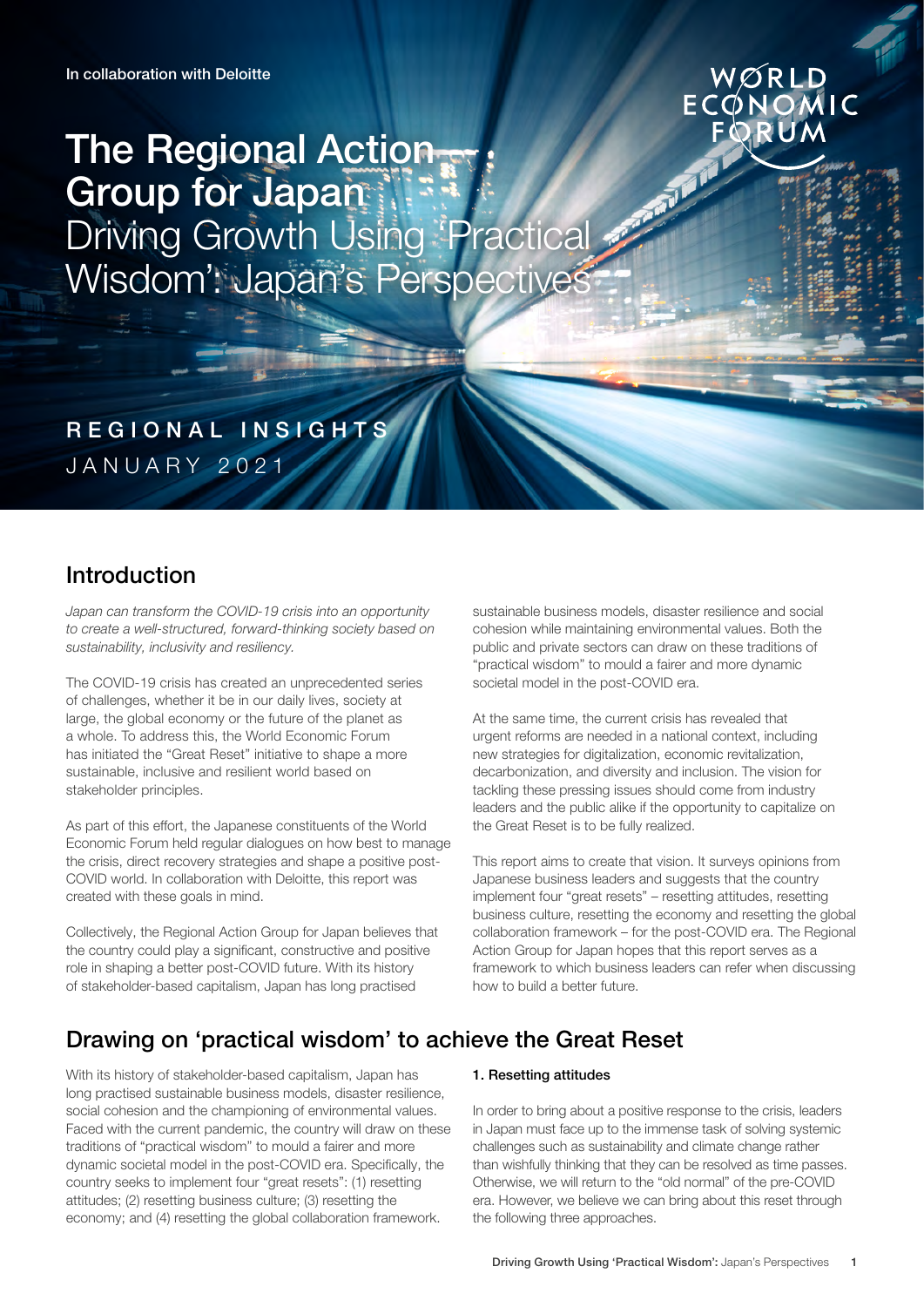# WØRLD ECÓNOMIC

# The Regional Action Group for Japan Driving Growth Using 'Practical Wisdom': Japan's Perspectives

REGIONAL INSIGHTS JANUARY 2021

# Introduction

Japan can transform the COVID-19 crisis into an opportunity to create a well-structured, forward-thinking society based on sustainability, inclusivity and resiliency.

The COVID-19 crisis has created an unprecedented series of challenges, whether it be in our daily lives, society at large, the global economy or the future of the planet as a whole. To address this, the World Economic Forum has initiated the "Great Reset" initiative to shape a more sustainable, inclusive and resilient world based on stakeholder principles.

As part of this effort, the Japanese constituents of the World Economic Forum held regular dialogues on how best to manage the crisis, direct recovery strategies and shape a positive post-COVID world. In collaboration with Deloitte, this report was created with these goals in mind.

Collectively, the Regional Action Group for Japan believes that the country could play a significant, constructive and positive role in shaping a better post-COVID future. With its history of stakeholder-based capitalism, Japan has long practised

sustainable business models, disaster resilience and social cohesion while maintaining environmental values. Both the public and private sectors can draw on these traditions of "practical wisdom" to mould a fairer and more dynamic societal model in the post-COVID era.

At the same time, the current crisis has revealed that urgent reforms are needed in a national context, including new strategies for digitalization, economic revitalization, decarbonization, and diversity and inclusion. The vision for tackling these pressing issues should come from industry leaders and the public alike if the opportunity to capitalize on the Great Reset is to be fully realized.

This report aims to create that vision. It surveys opinions from Japanese business leaders and suggests that the country implement four "great resets" – resetting attitudes, resetting business culture, resetting the economy and resetting the global collaboration framework – for the post-COVID era. The Regional Action Group for Japan hopes that this report serves as a framework to which business leaders can refer when discussing how to build a better future.

# Drawing on 'practical wisdom' to achieve the Great Reset

With its history of stakeholder-based capitalism, Japan has long practised sustainable business models, disaster resilience, social cohesion and the championing of environmental values. Faced with the current pandemic, the country will draw on these traditions of "practical wisdom" to mould a fairer and more dynamic societal model in the post-COVID era. Specifically, the country seeks to implement four "great resets": (1) resetting attitudes; (2) resetting business culture; (3) resetting the economy; and (4) resetting the global collaboration framework.

# 1. Resetting attitudes

In order to bring about a positive response to the crisis, leaders in Japan must face up to the immense task of solving systemic challenges such as sustainability and climate change rather than wishfully thinking that they can be resolved as time passes. Otherwise, we will return to the "old normal" of the pre-COVID era. However, we believe we can bring about this reset through the following three approaches.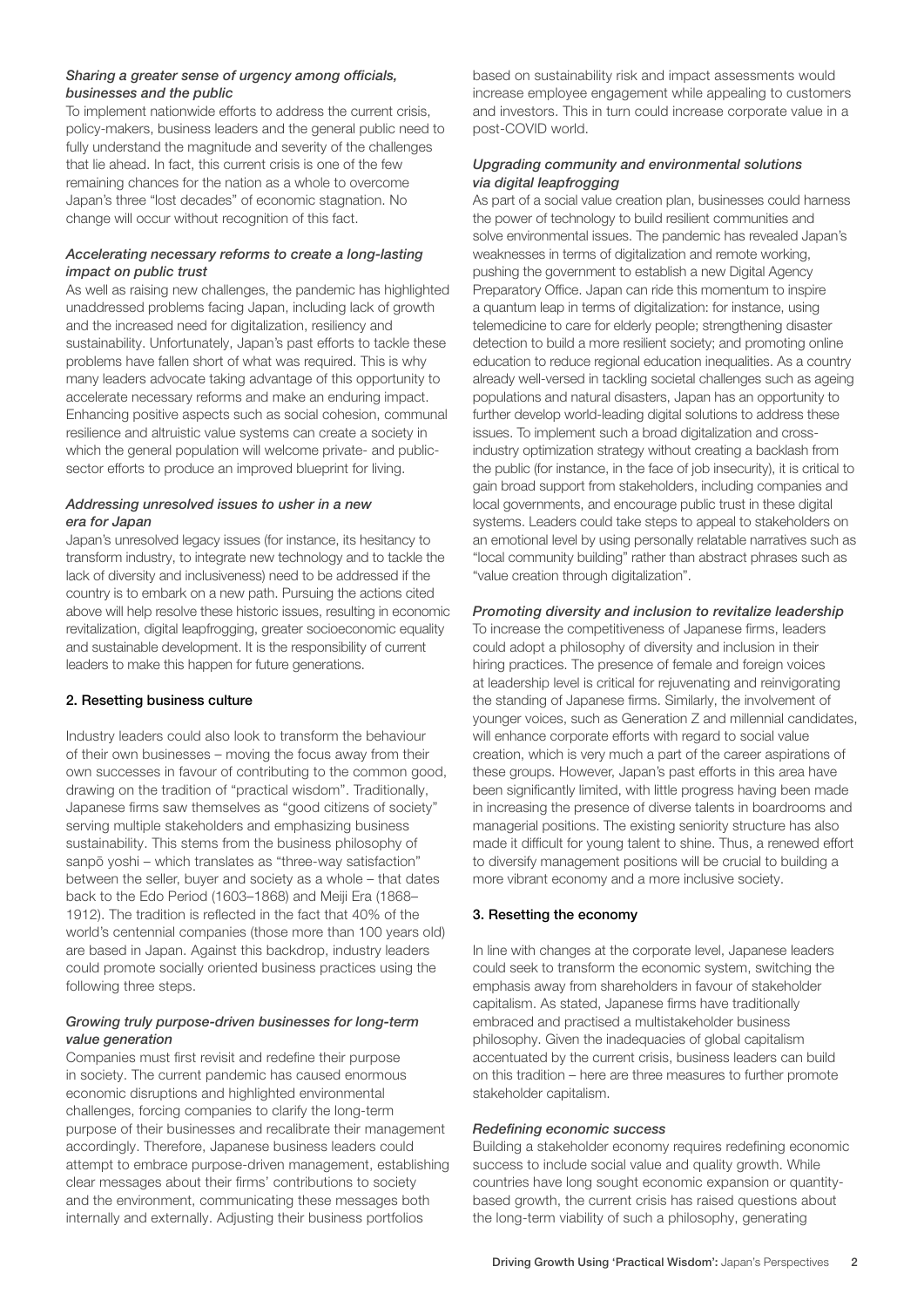# *Sharing a greater sense of urgency among officials, businesses and the public*

To implement nationwide efforts to address the current crisis, policy-makers, business leaders and the general public need to fully understand the magnitude and severity of the challenges that lie ahead. In fact, this current crisis is one of the few remaining chances for the nation as a whole to overcome Japan's three "lost decades" of economic stagnation. No change will occur without recognition of this fact.

# *Accelerating necessary reforms to create a long-lasting impact on public trust*

As well as raising new challenges, the pandemic has highlighted unaddressed problems facing Japan, including lack of growth and the increased need for digitalization, resiliency and sustainability. Unfortunately, Japan's past efforts to tackle these problems have fallen short of what was required. This is why many leaders advocate taking advantage of this opportunity to accelerate necessary reforms and make an enduring impact. Enhancing positive aspects such as social cohesion, communal resilience and altruistic value systems can create a society in which the general population will welcome private- and publicsector efforts to produce an improved blueprint for living.

# *Addressing unresolved issues to usher in a new era for Japan*

Japan's unresolved legacy issues (for instance, its hesitancy to transform industry, to integrate new technology and to tackle the lack of diversity and inclusiveness) need to be addressed if the country is to embark on a new path. Pursuing the actions cited above will help resolve these historic issues, resulting in economic revitalization, digital leapfrogging, greater socioeconomic equality and sustainable development. It is the responsibility of current leaders to make this happen for future generations.

# 2. Resetting business culture

Industry leaders could also look to transform the behaviour of their own businesses – moving the focus away from their own successes in favour of contributing to the common good, drawing on the tradition of "practical wisdom". Traditionally, Japanese firms saw themselves as "good citizens of society" serving multiple stakeholders and emphasizing business sustainability. This stems from the business philosophy of sanpō yoshi – which translates as "three-way satisfaction" between the seller, buyer and society as a whole – that dates back to the Edo Period (1603–1868) and Meiji Era (1868– 1912). The tradition is reflected in the fact that 40% of the world's centennial companies (those more than 100 years old) are based in Japan. Against this backdrop, industry leaders could promote socially oriented business practices using the following three steps.

# *Growing truly purpose-driven businesses for long-term value generation*

Companies must first revisit and redefine their purpose in society. The current pandemic has caused enormous economic disruptions and highlighted environmental challenges, forcing companies to clarify the long-term purpose of their businesses and recalibrate their management accordingly. Therefore, Japanese business leaders could attempt to embrace purpose-driven management, establishing clear messages about their firms' contributions to society and the environment, communicating these messages both internally and externally. Adjusting their business portfolios

based on sustainability risk and impact assessments would increase employee engagement while appealing to customers and investors. This in turn could increase corporate value in a post-COVID world.

# *Upgrading community and environmental solutions via digital leapfrogging*

As part of a social value creation plan, businesses could harness the power of technology to build resilient communities and solve environmental issues. The pandemic has revealed Japan's weaknesses in terms of digitalization and remote working, pushing the government to establish a new Digital Agency Preparatory Office. Japan can ride this momentum to inspire a quantum leap in terms of digitalization: for instance, using telemedicine to care for elderly people; strengthening disaster detection to build a more resilient society; and promoting online education to reduce regional education inequalities. As a country already well-versed in tackling societal challenges such as ageing populations and natural disasters, Japan has an opportunity to further develop world-leading digital solutions to address these issues. To implement such a broad digitalization and crossindustry optimization strategy without creating a backlash from the public (for instance, in the face of job insecurity), it is critical to gain broad support from stakeholders, including companies and local governments, and encourage public trust in these digital systems. Leaders could take steps to appeal to stakeholders on an emotional level by using personally relatable narratives such as "local community building" rather than abstract phrases such as "value creation through digitalization".

# *Promoting diversity and inclusion to revitalize leadership*

To increase the competitiveness of Japanese firms, leaders could adopt a philosophy of diversity and inclusion in their hiring practices. The presence of female and foreign voices at leadership level is critical for rejuvenating and reinvigorating the standing of Japanese firms. Similarly, the involvement of younger voices, such as Generation Z and millennial candidates, will enhance corporate efforts with regard to social value creation, which is very much a part of the career aspirations of these groups. However, Japan's past efforts in this area have been significantly limited, with little progress having been made in increasing the presence of diverse talents in boardrooms and managerial positions. The existing seniority structure has also made it difficult for young talent to shine. Thus, a renewed effort to diversify management positions will be crucial to building a more vibrant economy and a more inclusive society.

# 3. Resetting the economy

In line with changes at the corporate level, Japanese leaders could seek to transform the economic system, switching the emphasis away from shareholders in favour of stakeholder capitalism. As stated, Japanese firms have traditionally embraced and practised a multistakeholder business philosophy. Given the inadequacies of global capitalism accentuated by the current crisis, business leaders can build on this tradition – here are three measures to further promote stakeholder capitalism.

#### *Redefining economic success*

Building a stakeholder economy requires redefining economic success to include social value and quality growth. While countries have long sought economic expansion or quantitybased growth, the current crisis has raised questions about the long-term viability of such a philosophy, generating